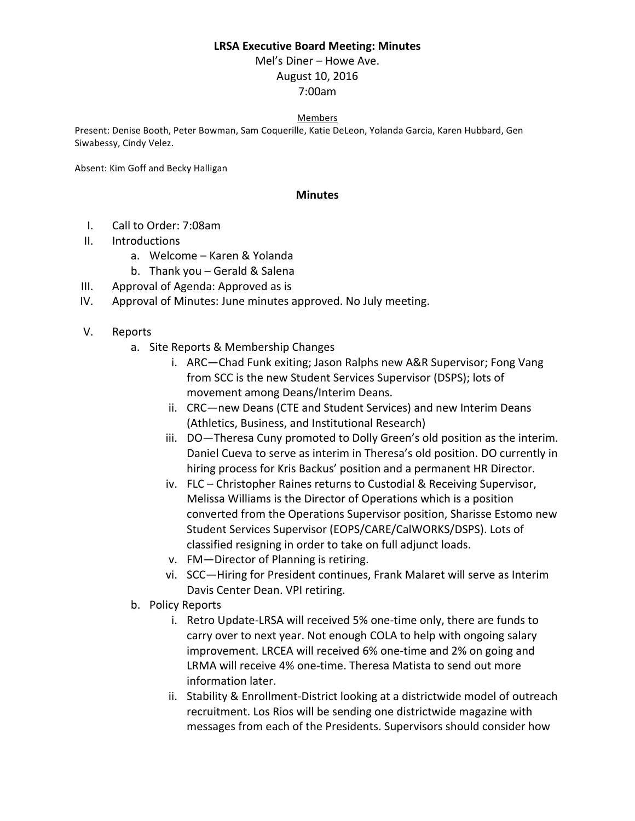## **LRSA Executive Board Meeting: Minutes**

Mel's Diner – Howe Ave. August 10, 2016 7:00am

## Members

Present: Denise Booth, Peter Bowman, Sam Coquerille, Katie DeLeon, Yolanda Garcia, Karen Hubbard, Gen Siwabessy, Cindy Velez.

Absent: Kim Goff and Becky Halligan

## **Minutes**

- I. Call to Order: 7:08am
- II. Introductions
	- a. Welcome Karen & Yolanda
	- b. Thank you Gerald & Salena
- III. Approval of Agenda: Approved as is
- IV. Approval of Minutes: June minutes approved. No July meeting.
- V. Reports
	- a. Site Reports & Membership Changes
		- i. ARC—Chad Funk exiting; Jason Ralphs new A&R Supervisor; Fong Vang from SCC is the new Student Services Supervisor (DSPS); lots of movement among Deans/Interim Deans.
		- ii. CRC—new Deans (CTE and Student Services) and new Interim Deans (Athletics, Business, and Institutional Research)
		- iii. DO-Theresa Cuny promoted to Dolly Green's old position as the interim. Daniel Cueva to serve as interim in Theresa's old position. DO currently in hiring process for Kris Backus' position and a permanent HR Director.
		- iv. FLC Christopher Raines returns to Custodial & Receiving Supervisor, Melissa Williams is the Director of Operations which is a position converted from the Operations Supervisor position, Sharisse Estomo new Student Services Supervisor (EOPS/CARE/CalWORKS/DSPS). Lots of classified resigning in order to take on full adjunct loads.
		- v. FM-Director of Planning is retiring.
		- vi. SCC-Hiring for President continues, Frank Malaret will serve as Interim Davis Center Dean. VPI retiring.
	- b. Policy Reports
		- i. Retro Update-LRSA will received 5% one-time only, there are funds to carry over to next year. Not enough COLA to help with ongoing salary improvement. LRCEA will received 6% one-time and 2% on going and LRMA will receive 4% one-time. Theresa Matista to send out more information later.
		- ii. Stability & Enrollment-District looking at a districtwide model of outreach recruitment. Los Rios will be sending one districtwide magazine with messages from each of the Presidents. Supervisors should consider how